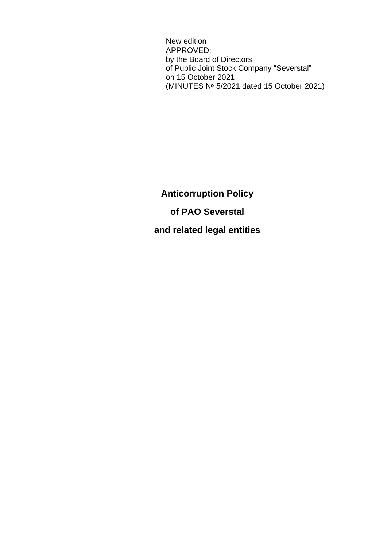New edition APPROVED: by the Board of Directors of Public Joint Stock Company "Severstal" on 15 October 2021 (MINUTES № 5/2021 dated 15 October 2021)

**Anticorruption Policy of PAO Severstal and related legal entities**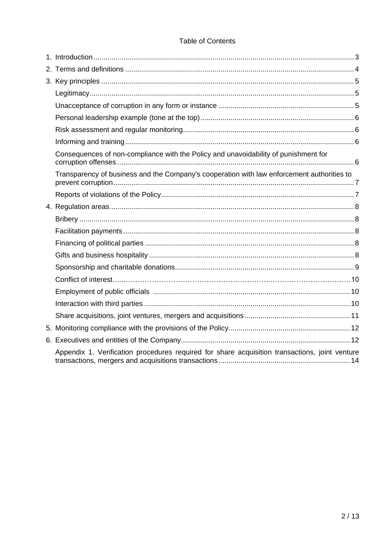#### **Table of Contents**

| Consequences of non-compliance with the Policy and unavoidability of punishment for            |  |
|------------------------------------------------------------------------------------------------|--|
| Transparency of business and the Company's cooperation with law enforcement authorities to     |  |
|                                                                                                |  |
|                                                                                                |  |
|                                                                                                |  |
|                                                                                                |  |
|                                                                                                |  |
|                                                                                                |  |
|                                                                                                |  |
|                                                                                                |  |
|                                                                                                |  |
|                                                                                                |  |
|                                                                                                |  |
|                                                                                                |  |
|                                                                                                |  |
| Appendix 1. Verification procedures required for share acquisition transactions, joint venture |  |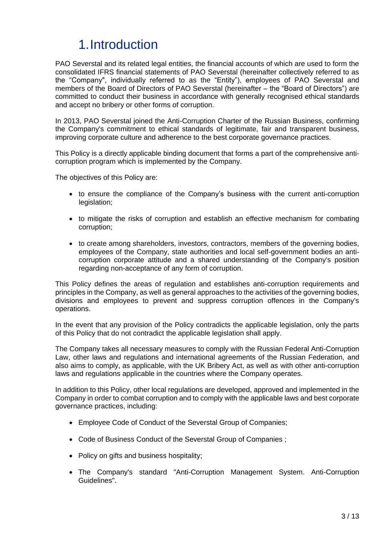## 1.Introduction

PAO Severstal and its related legal entities, the financial accounts of which are used to form the consolidated IFRS financial statements of PAO Severstal (hereinafter collectively referred to as the "Company", individually referred to as the "Entity"), employees of PAO Severstal and members of the Board of Directors of PAO Severstal (hereinafter – the "Board of Directors") are committed to conduct their business in accordance with generally recognised ethical standards and accept no bribery or other forms of corruption.

In 2013, PAO Severstal joined the Anti-Corruption Charter of the Russian Business, confirming the Company's commitment to ethical standards of legitimate, fair and transparent business, improving corporate culture and adherence to the best corporate governance practices.

This Policy is a directly applicable binding document that forms a part of the comprehensive anticorruption program which is implemented by the Company.

The objectives of this Policy are:

- to ensure the compliance of the Company's business with the current anti-corruption legislation:
- to mitigate the risks of corruption and establish an effective mechanism for combating corruption;
- to create among shareholders, investors, contractors, members of the governing bodies, employees of the Company, state authorities and local self-government bodies an anticorruption corporate attitude and a shared understanding of the Company's position regarding non-acceptance of any form of corruption.

This Policy defines the areas of regulation and establishes anti-corruption requirements and principles in the Company, as well as general approaches to the activities of the governing bodies, divisions and employees to prevent and suppress corruption offences in the Company's operations.

In the event that any provision of the Policy contradicts the applicable legislation, only the parts of this Policy that do not contradict the applicable legislation shall apply.

The Company takes all necessary measures to comply with the Russian Federal Anti-Corruption Law, other laws and regulations and international agreements of the Russian Federation, and also aims to comply, as applicable, with the UK Bribery Act, as well as with other anti-corruption laws and regulations applicable in the countries where the Company operates.

In addition to this Policy, other local regulations are developed, approved and implemented in the Company in order to combat corruption and to comply with the applicable laws and best corporate governance practices, including:

- Employee Code of Conduct of the Severstal Group of Companies;
- Code of Business Conduct of the Severstal Group of Companies ;
- Policy on gifts and business hospitality;
- The Company's standard "Anti-Corruption Management System. Anti-Corruption Guidelines".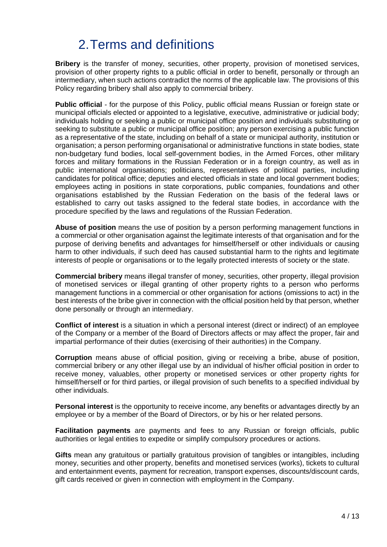## 2.Terms and definitions

**Bribery** is the transfer of money, securities, other property, provision of monetised services, provision of other property rights to a public official in order to benefit, personally or through an intermediary, when such actions contradict the norms of the applicable law. The provisions of this Policy regarding bribery shall also apply to commercial bribery.

**Public official** - for the purpose of this Policy, public official means Russian or foreign state or municipal officials elected or appointed to a legislative, executive, administrative or judicial body; individuals holding or seeking a public or municipal office position and individuals substituting or seeking to substitute a public or municipal office position; any person exercising a public function as a representative of the state, including on behalf of a state or municipal authority, institution or organisation; a person performing organisational or administrative functions in state bodies, state non-budgetary fund bodies, local self-government bodies, in the Armed Forces, other military forces and military formations in the Russian Federation or in a foreign country, as well as in public international organisations; politicians, representatives of political parties, including candidates for political office; deputies and elected officials in state and local government bodies; employees acting in positions in state corporations, public companies, foundations and other organisations established by the Russian Federation on the basis of the federal laws or established to carry out tasks assigned to the federal state bodies, in accordance with the procedure specified by the laws and regulations of the Russian Federation.

**Abuse of position** means the use of position by a person performing management functions in a commercial or other organisation against the legitimate interests of that organisation and for the purpose of deriving benefits and advantages for himself/herself or other individuals or causing harm to other individuals, if such deed has caused substantial harm to the rights and legitimate interests of people or organisations or to the legally protected interests of society or the state.

**Commercial bribery** means illegal transfer of money, securities, other property, illegal provision of monetised services or illegal granting of other property rights to a person who performs management functions in a commercial or other organisation for actions (omissions to act) in the best interests of the bribe giver in connection with the official position held by that person, whether done personally or through an intermediary.

**Conflict of interest** is a situation in which a personal interest (direct or indirect) of an employee of the Company or a member of the Board of Directors affects or may affect the proper, fair and impartial performance of their duties (exercising of their authorities) in the Company.

**Corruption** means abuse of official position, giving or receiving a bribe, abuse of position, commercial bribery or any other illegal use by an individual of his/her official position in order to receive money, valuables, other property or monetised services or other property rights for himself/herself or for third parties, or illegal provision of such benefits to a specified individual by other individuals.

**Personal interest** is the opportunity to receive income, any benefits or advantages directly by an employee or by a member of the Board of Directors, or by his or her related persons.

**Facilitation payments** are payments and fees to any Russian or foreign officials, public authorities or legal entities to expedite or simplify compulsory procedures or actions.

**Gifts** mean any gratuitous or partially gratuitous provision of tangibles or intangibles, including money, securities and other property, benefits and monetised services (works), tickets to cultural and entertainment events, payment for recreation, transport expenses, discounts/discount cards, gift cards received or given in connection with employment in the Company.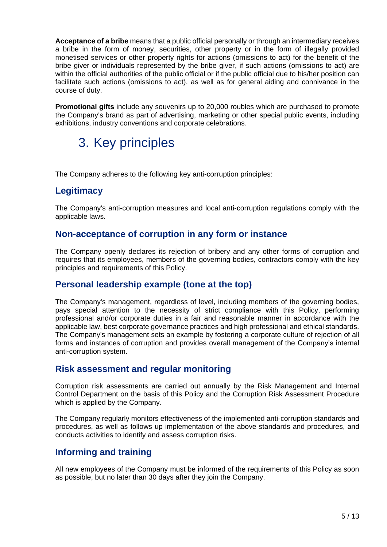**Acceptance of a bribe** means that a public official personally or through an intermediary receives a bribe in the form of money, securities, other property or in the form of illegally provided monetised services or other property rights for actions (omissions to act) for the benefit of the bribe giver or individuals represented by the bribe giver, if such actions (omissions to act) are within the official authorities of the public official or if the public official due to his/her position can facilitate such actions (omissions to act), as well as for general aiding and connivance in the course of duty.

**Promotional gifts** include any souvenirs up to 20,000 roubles which are purchased to promote the Company's brand as part of advertising, marketing or other special public events, including exhibitions, industry conventions and corporate celebrations.

# 3. Key principles

The Company adheres to the following key anti-corruption principles:

### **Legitimacy**

The Company's anti-corruption measures and local anti-corruption regulations comply with the applicable laws.

### **Non-acceptance of corruption in any form or instance**

The Company openly declares its rejection of bribery and any other forms of corruption and requires that its employees, members of the governing bodies, contractors comply with the key principles and requirements of this Policy.

### **Personal leadership example (tone at the top)**

The Company's management, regardless of level, including members of the governing bodies, pays special attention to the necessity of strict compliance with this Policy, performing professional and/or corporate duties in a fair and reasonable manner in accordance with the applicable law, best corporate governance practices and high professional and ethical standards. The Company's management sets an example by fostering a corporate culture of rejection of all forms and instances of corruption and provides overall management of the Company's internal anti-corruption system.

#### **Risk assessment and regular monitoring**

Corruption risk assessments are carried out annually by the Risk Management and Internal Control Department on the basis of this Policy and the Corruption Risk Assessment Procedure which is applied by the Company.

The Company regularly monitors effectiveness of the implemented anti-corruption standards and procedures, as well as follows up implementation of the above standards and procedures, and conducts activities to identify and assess corruption risks.

### **Informing and training**

All new employees of the Company must be informed of the requirements of this Policy as soon as possible, but no later than 30 days after they join the Company.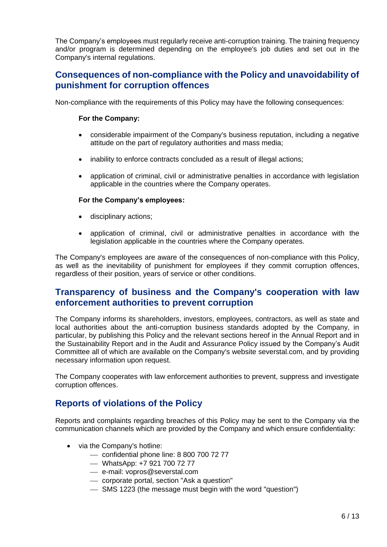The Company's employees must regularly receive anti-corruption training. The training frequency and/or program is determined depending on the employee's job duties and set out in the Company's internal regulations.

### **Consequences of non-compliance with the Policy and unavoidability of punishment for corruption offences**

Non-compliance with the requirements of this Policy may have the following consequences:

#### **For the Company:**

- considerable impairment of the Company's business reputation, including a negative attitude on the part of regulatory authorities and mass media;
- inability to enforce contracts concluded as a result of illegal actions;
- application of criminal, civil or administrative penalties in accordance with legislation applicable in the countries where the Company operates.

#### **For the Company's employees:**

- disciplinary actions;
- application of criminal, civil or administrative penalties in accordance with the legislation applicable in the countries where the Company operates.

The Company's employees are aware of the consequences of non-compliance with this Policy, as well as the inevitability of punishment for employees if they commit corruption offences, regardless of their position, years of service or other conditions.

### **Transparency of business and the Company's cooperation with law enforcement authorities to prevent corruption**

The Company informs its shareholders, investors, employees, contractors, as well as state and local authorities about the anti-corruption business standards adopted by the Company, in particular, by publishing this Policy and the relevant sections hereof in the Annual Report and in the Sustainability Report and in the Audit and Assurance Policy issued by the Company's Audit Committee all of which are available on the Company's website severstal.com, and by providing necessary information upon request.

The Company cooperates with law enforcement authorities to prevent, suppress and investigate corruption offences.

### **Reports of violations of the Policy**

Reports and complaints regarding breaches of this Policy may be sent to the Company via the communication channels which are provided by the Company and which ensure confidentiality:

- via the Company's hotline:
	- $-$  confidential phone line: 8 800 700 72 77
	- WhatsApp: +7 921 700 72 77
	- e-mail: [vopros@severstal.com](mailto:vopros@severstal.com)
	- corporate portal, section "Ask a question"
	- SMS 1223 (the message must begin with the word "question")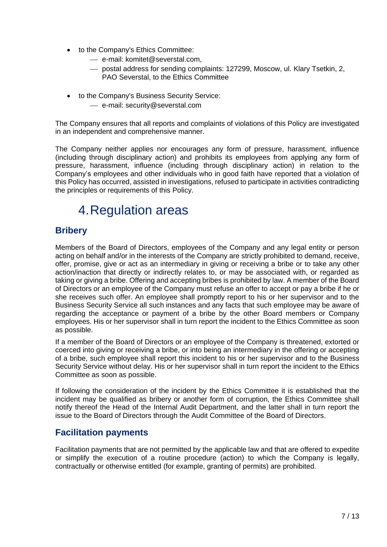- to the Company's Ethics Committee:
	- e-mail: komitet@severstal.com,
	- postal address for sending complaints: 127299, Moscow, ul. Klary Tsetkin, 2, PAO Severstal, to the Ethics Committee
- to the Company's Business Security Service:
	- e-mail: security@severstal.com

The Company ensures that all reports and complaints of violations of this Policy are investigated in an independent and comprehensive manner.

The Company neither applies nor encourages any form of pressure, harassment, influence (including through disciplinary action) and prohibits its employees from applying any form of pressure, harassment, influence (including through disciplinary action) in relation to the Company's employees and other individuals who in good faith have reported that a violation of this Policy has occurred, assisted in investigations, refused to participate in activities contradicting the principles or requirements of this Policy.

### 4.Regulation areas

### **Bribery**

Members of the Board of Directors, employees of the Company and any legal entity or person acting on behalf and/or in the interests of the Company are strictly prohibited to demand, receive, offer, promise, give or act as an intermediary in giving or receiving a bribe or to take any other action/inaction that directly or indirectly relates to, or may be associated with, or regarded as taking or giving a bribe. Offering and accepting bribes is prohibited by law. A member of the Board of Directors or an employee of the Company must refuse an offer to accept or pay a bribe if he or she receives such offer. An employee shall promptly report to his or her supervisor and to the Business Security Service all such instances and any facts that such employee may be aware of regarding the acceptance or payment of a bribe by the other Board members or Company employees. His or her supervisor shall in turn report the incident to the Ethics Committee as soon as possible.

If a member of the Board of Directors or an employee of the Company is threatened, extorted or coerced into giving or receiving a bribe, or into being an intermediary in the offering or accepting of a bribe, such employee shall report this incident to his or her supervisor and to the Business Security Service without delay. His or her supervisor shall in turn report the incident to the Ethics Committee as soon as possible.

If following the consideration of the incident by the Ethics Committee it is established that the incident may be qualified as bribery or another form of corruption, the Ethics Committee shall notify thereof the Head of the Internal Audit Department, and the latter shall in turn report the issue to the Board of Directors through the Audit Committee of the Board of Directors.

### **Facilitation payments**

Facilitation payments that are not permitted by the applicable law and that are offered to expedite or simplify the execution of a routine procedure (action) to which the Company is legally, contractually or otherwise entitled (for example, granting of permits) are prohibited.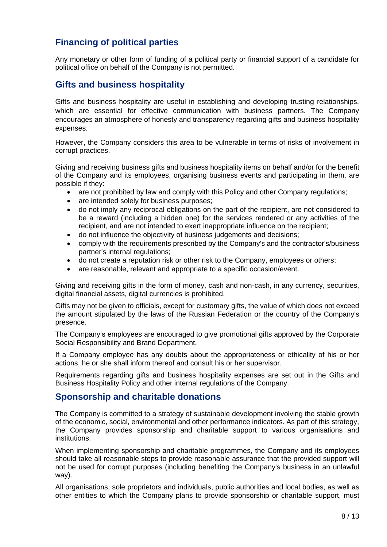### **Financing of political parties**

Any monetary or other form of funding of a political party or financial support of a candidate for political office on behalf of the Company is not permitted.

### **Gifts and business hospitality**

Gifts and business hospitality are useful in establishing and developing trusting relationships, which are essential for effective communication with business partners. The Company encourages an atmosphere of honesty and transparency regarding gifts and business hospitality expenses.

However, the Company considers this area to be vulnerable in terms of risks of involvement in corrupt practices.

Giving and receiving business gifts and business hospitality items on behalf and/or for the benefit of the Company and its employees, organising business events and participating in them, are possible if they:

- are not prohibited by law and comply with this Policy and other Company regulations;
- are intended solely for business purposes;
- do not imply any reciprocal obligations on the part of the recipient, are not considered to be a reward (including a hidden one) for the services rendered or any activities of the recipient, and are not intended to exert inappropriate influence on the recipient;
- do not influence the objectivity of business judgements and decisions;
- comply with the requirements prescribed by the Company's and the contractor's/business partner's internal regulations;
- do not create a reputation risk or other risk to the Company, employees or others;
- are reasonable, relevant and appropriate to a specific occasion/event.

Giving and receiving gifts in the form of money, cash and non-cash, in any currency, securities, digital financial assets, digital currencies is prohibited.

Gifts may not be given to officials, except for customary gifts, the value of which does not exceed the amount stipulated by the laws of the Russian Federation or the country of the Company's presence.

The Company's employees are encouraged to give promotional gifts approved by the Corporate Social Responsibility and Brand Department.

If a Company employee has any doubts about the appropriateness or ethicality of his or her actions, he or she shall inform thereof and consult his or her supervisor.

Requirements regarding gifts and business hospitality expenses are set out in the Gifts and Business Hospitality Policy and other internal regulations of the Company.

#### **Sponsorship and charitable donations**

The Company is committed to a strategy of sustainable development involving the stable growth of the economic, social, environmental and other performance indicators. As part of this strategy, the Company provides sponsorship and charitable support to various organisations and institutions.

When implementing sponsorship and charitable programmes, the Company and its employees should take all reasonable steps to provide reasonable assurance that the provided support will not be used for corrupt purposes (including benefiting the Company's business in an unlawful way).

All organisations, sole proprietors and individuals, public authorities and local bodies, as well as other entities to which the Company plans to provide sponsorship or charitable support, must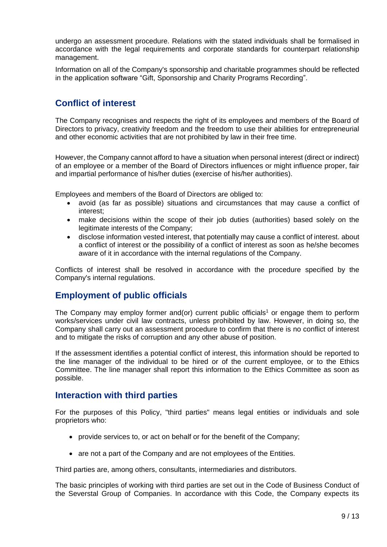undergo an assessment procedure. Relations with the stated individuals shall be formalised in accordance with the legal requirements and corporate standards for counterpart relationship management.

Information on all of the Company's sponsorship and charitable programmes should be reflected in the application software "Gift, Sponsorship and Charity Programs Recording".

### **Conflict of interest**

The Company recognises and respects the right of its employees and members of the Board of Directors to privacy, creativity freedom and the freedom to use their abilities for entrepreneurial and other economic activities that are not prohibited by law in their free time.

However, the Company cannot afford to have a situation when personal interest (direct or indirect) of an employee or a member of the Board of Directors influences or might influence proper, fair and impartial performance of his/her duties (exercise of his/her authorities).

Employees and members of the Board of Directors are obliged to:

- avoid (as far as possible) situations and circumstances that may cause a conflict of interest;
- make decisions within the scope of their job duties (authorities) based solely on the legitimate interests of the Company;
- disclose information vested interest, that potentially may cause a conflict of interest. about a conflict of interest or the possibility of a conflict of interest as soon as he/she becomes aware of it in accordance with the internal regulations of the Company.

Conflicts of interest shall be resolved in accordance with the procedure specified by the Company's internal regulations.

### **Employment of public officials**

The Company may employ former and(or) current public officials<sup>1</sup> or engage them to perform works/services under civil law contracts, unless prohibited by law. However, in doing so, the Company shall carry out an assessment procedure to confirm that there is no conflict of interest and to mitigate the risks of corruption and any other abuse of position.

If the assessment identifies a potential conflict of interest, this information should be reported to the line manager of the individual to be hired or of the current employee, or to the Ethics Committee. The line manager shall report this information to the Ethics Committee as soon as possible.

#### **Interaction with third parties**

For the purposes of this Policy, "third parties" means legal entities or individuals and sole proprietors who:

- provide services to, or act on behalf or for the benefit of the Company;
- are not a part of the Company and are not employees of the Entities.

Third parties are, among others, consultants, intermediaries and distributors.

The basic principles of working with third parties are set out in the Code of Business Conduct of the Severstal Group of Companies. In accordance with this Code, the Company expects its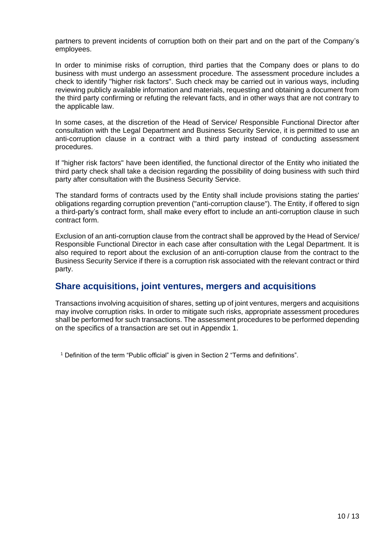partners to prevent incidents of corruption both on their part and on the part of the Company's employees.

In order to minimise risks of corruption, third parties that the Company does or plans to do business with must undergo an assessment procedure. The assessment procedure includes a check to identify "higher risk factors". Such check may be carried out in various ways, including reviewing publicly available information and materials, requesting and obtaining a document from the third party confirming or refuting the relevant facts, and in other ways that are not contrary to the applicable law.

In some cases, at the discretion of the Head of Service/ Responsible Functional Director after consultation with the Legal Department and Business Security Service, it is permitted to use an anti-corruption clause in a contract with a third party instead of conducting assessment procedures.

If "higher risk factors" have been identified, the functional director of the Entity who initiated the third party check shall take a decision regarding the possibility of doing business with such third party after consultation with the Business Security Service.

The standard forms of contracts used by the Entity shall include provisions stating the parties' obligations regarding corruption prevention ("anti-corruption clause"). The Entity, if offered to sign a third-party's contract form, shall make every effort to include an anti-corruption clause in such contract form.

Exclusion of an anti-corruption clause from the contract shall be approved by the Head of Service/ Responsible Functional Director in each case after consultation with the Legal Department. It is also required to report about the exclusion of an anti-corruption clause from the contract to the Business Security Service if there is a corruption risk associated with the relevant contract or third party.

### **Share acquisitions, joint ventures, mergers and acquisitions**

Transactions involving acquisition of shares, setting up of joint ventures, mergers and acquisitions may involve corruption risks. In order to mitigate such risks, appropriate assessment procedures shall be performed for such transactions. The assessment procedures to be performed depending on the specifics of a transaction are set out in Appendix 1.

<sup>1</sup> Definition of the term "Public official" is given in Section 2 "Terms and definitions".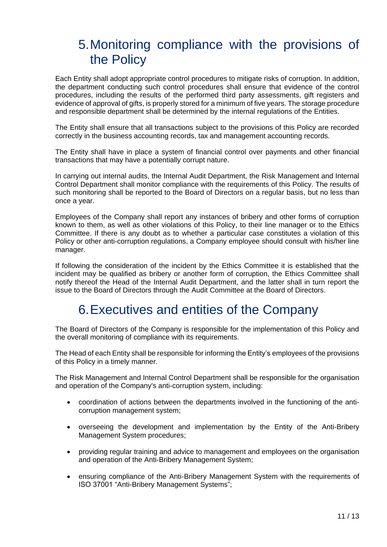### 5.Monitoring compliance with the provisions of the Policy

Each Entity shall adopt appropriate control procedures to mitigate risks of corruption. In addition, the department conducting such control procedures shall ensure that evidence of the control procedures, including the results of the performed third party assessments, gift registers and evidence of approval of gifts, is properly stored for a minimum of five years. The storage procedure and responsible department shall be determined by the internal regulations of the Entities.

The Entity shall ensure that all transactions subject to the provisions of this Policy are recorded correctly in the business accounting records, tax and management accounting records.

The Entity shall have in place a system of financial control over payments and other financial transactions that may have a potentially corrupt nature.

In carrying out internal audits, the Internal Audit Department, the Risk Management and Internal Control Department shall monitor compliance with the requirements of this Policy. The results of such monitoring shall be reported to the Board of Directors on a regular basis, but no less than once a year.

Employees of the Company shall report any instances of bribery and other forms of corruption known to them, as well as other violations of this Policy, to their line manager or to the Ethics Committee. If there is any doubt as to whether a particular case constitutes a violation of this Policy or other anti-corruption regulations, a Company employee should consult with his/her line manager.

If following the consideration of the incident by the Ethics Committee it is established that the incident may be qualified as bribery or another form of corruption, the Ethics Committee shall notify thereof the Head of the Internal Audit Department, and the latter shall in turn report the issue to the Board of Directors through the Audit Committee at the Board of Directors.

### 6.Executives and entities of the Company

The Board of Directors of the Company is responsible for the implementation of this Policy and the overall monitoring of compliance with its requirements.

The Head of each Entity shall be responsible for informing the Entity's employees of the provisions of this Policy in a timely manner.

The Risk Management and Internal Control Department shall be responsible for the organisation and operation of the Company's anti-corruption system, including:

- coordination of actions between the departments involved in the functioning of the anticorruption management system;
- overseeing the development and implementation by the Entity of the Anti-Bribery Management System procedures;
- providing regular training and advice to management and employees on the organisation and operation of the Anti-Bribery Management System;
- ensuring compliance of the Anti-Bribery Management System with the requirements of ISO 37001 "Anti-Bribery Management Systems";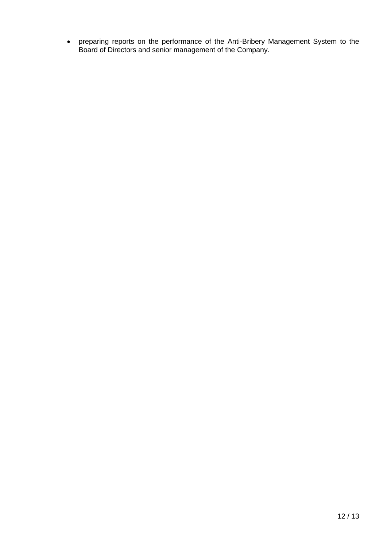preparing reports on the performance of the Anti-Bribery Management System to the Board of Directors and senior management of the Company.